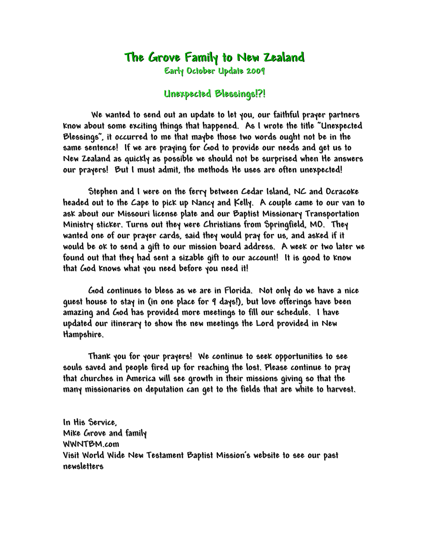## **The Grove Family to New Zealand**

**Early October Update 2009**

## **Unexpected Blessings!?!**

**We wanted to send out an update to let you, our faithful prayer partners know about some exciting things that happened. As I wrote the title "Unexpected Blessings", it occurred to me that maybe those two words ought not be in the same sentence! If we are praying for God to provide our needs and get us to New Zealand as quickly as possible we should not be surprised when He answers our prayers! But I must admit, the methods He uses are often unexpected!**

**Stephen and I were on the ferry between Cedar Island, NC and Ocracoke headed out to the Cape to pick up Nancy and Kelly. A couple came to our van to ask about our Missouri license plate and our Baptist Missionary Transportation Ministry sticker. Turns out they were Christians from Springfield, MO. They wanted one of our prayer cards, said they would pray for us, and asked if it would be ok to send a gift to our mission board address. A week or two later we found out that they had sent a sizable gift to our account! It is good to know that God knows what you need before you need it!**

**God continues to bless as we are in Florida. Not only do we have a nice guest house to stay in (in one place for 9 days!), but love offerings have been amazing and God has provided more meetings to fill our schedule. I have updated our itinerary to show the new meetings the Lord provided in New Hampshire.**

**Thank you for your prayers! We continue to seek opportunities to see souls saved and people fired up for reaching the lost. Please continue to pray that churches in America will see growth in their missions giving so that the many missionaries on deputation can get to the fields that are white to harvest.**

**In His Service, Mike Grove and family WWNTBM.com Visit World Wide New Testament Baptist Mission's website to see our past newsletters**